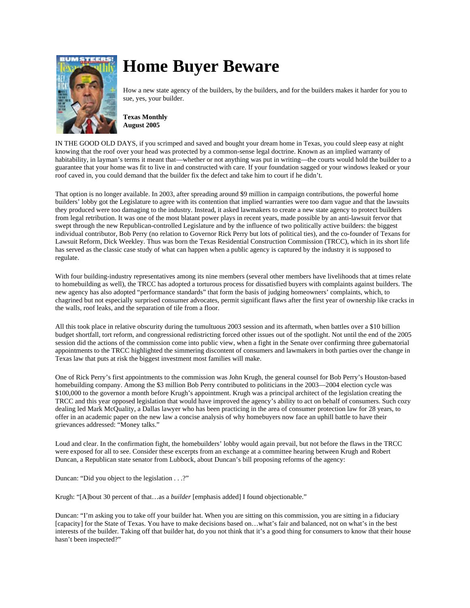

## **Home Buyer Beware**

How a new state agency of the builders, by the builders, and for the builders makes it harder for you to sue, yes, your builder.

**Texas Monthly August 2005**

IN THE GOOD OLD DAYS, if you scrimped and saved and bought your dream home in Texas, you could sleep easy at night knowing that the roof over your head was protected by a common-sense legal doctrine. Known as an implied warranty of habitability, in layman's terms it meant that—whether or not anything was put in writing—the courts would hold the builder to a guarantee that your home was fit to live in and constructed with care. If your foundation sagged or your windows leaked or your roof caved in, you could demand that the builder fix the defect and take him to court if he didn't.

That option is no longer available. In 2003, after spreading around \$9 million in campaign contributions, the powerful home builders' lobby got the Legislature to agree with its contention that implied warranties were too darn vague and that the lawsuits they produced were too damaging to the industry. Instead, it asked lawmakers to create a new state agency to protect builders from legal retribution. It was one of the most blatant power plays in recent years, made possible by an anti-lawsuit fervor that swept through the new Republican-controlled Legislature and by the influence of two politically active builders: the biggest individual contributor, Bob Perry (no relation to Governor Rick Perry but lots of political ties), and the co-founder of Texans for Lawsuit Reform, Dick Weekley. Thus was born the Texas Residential Construction Commission (TRCC), which in its short life has served as the classic case study of what can happen when a public agency is captured by the industry it is supposed to regulate.

With four building-industry representatives among its nine members (several other members have livelihoods that at times relate to homebuilding as well), the TRCC has adopted a torturous process for dissatisfied buyers with complaints against builders. The new agency has also adopted "performance standards" that form the basis of judging homeowners' complaints, which, to chagrined but not especially surprised consumer advocates, permit significant flaws after the first year of ownership like cracks in the walls, roof leaks, and the separation of tile from a floor.

All this took place in relative obscurity during the tumultuous 2003 session and its aftermath, when battles over a \$10 billion budget shortfall, tort reform, and congressional redistricting forced other issues out of the spotlight. Not until the end of the 2005 session did the actions of the commission come into public view, when a fight in the Senate over confirming three gubernatorial appointments to the TRCC highlighted the simmering discontent of consumers and lawmakers in both parties over the change in Texas law that puts at risk the biggest investment most families will make.

One of Rick Perry's first appointments to the commission was John Krugh, the general counsel for Bob Perry's Houston-based homebuilding company. Among the \$3 million Bob Perry contributed to politicians in the 2003—2004 election cycle was \$100,000 to the governor a month before Krugh's appointment. Krugh was a principal architect of the legislation creating the TRCC and this year opposed legislation that would have improved the agency's ability to act on behalf of consumers. Such cozy dealing led Mark McQuality, a Dallas lawyer who has been practicing in the area of consumer protection law for 28 years, to offer in an academic paper on the new law a concise analysis of why homebuyers now face an uphill battle to have their grievances addressed: "Money talks."

Loud and clear. In the confirmation fight, the homebuilders' lobby would again prevail, but not before the flaws in the TRCC were exposed for all to see. Consider these excerpts from an exchange at a committee hearing between Krugh and Robert Duncan, a Republican state senator from Lubbock, about Duncan's bill proposing reforms of the agency:

Duncan: "Did you object to the legislation . . .?"

Krugh: "[A]bout 30 percent of that…as a *builder* [emphasis added] I found objectionable."

Duncan: "I'm asking you to take off your builder hat. When you are sitting on this commission, you are sitting in a fiduciary [capacity] for the State of Texas. You have to make decisions based on…what's fair and balanced, not on what's in the best interests of the builder. Taking off that builder hat, do you not think that it's a good thing for consumers to know that their house hasn't been inspected?"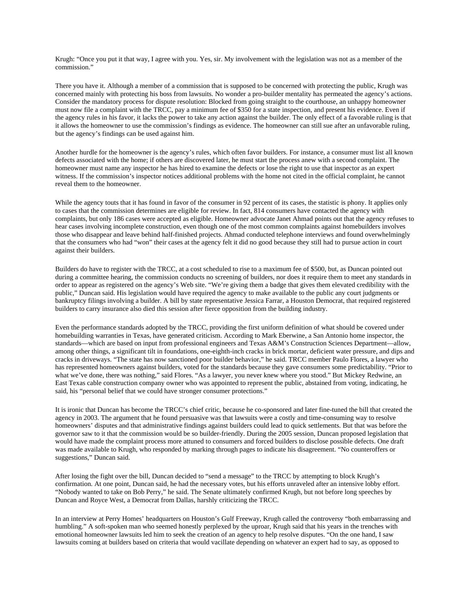Krugh: "Once you put it that way, I agree with you. Yes, sir. My involvement with the legislation was not as a member of the commission."

There you have it. Although a member of a commission that is supposed to be concerned with protecting the public, Krugh was concerned mainly with protecting his boss from lawsuits. No wonder a pro-builder mentality has permeated the agency's actions. Consider the mandatory process for dispute resolution: Blocked from going straight to the courthouse, an unhappy homeowner must now file a complaint with the TRCC, pay a minimum fee of \$350 for a state inspection, and present his evidence. Even if the agency rules in his favor, it lacks the power to take any action against the builder. The only effect of a favorable ruling is that it allows the homeowner to use the commission's findings as evidence. The homeowner can still sue after an unfavorable ruling, but the agency's findings can be used against him.

Another hurdle for the homeowner is the agency's rules, which often favor builders. For instance, a consumer must list all known defects associated with the home; if others are discovered later, he must start the process anew with a second complaint. The homeowner must name any inspector he has hired to examine the defects or lose the right to use that inspector as an expert witness. If the commission's inspector notices additional problems with the home not cited in the official complaint, he cannot reveal them to the homeowner.

While the agency touts that it has found in favor of the consumer in 92 percent of its cases, the statistic is phony. It applies only to cases that the commission determines are eligible for review. In fact, 814 consumers have contacted the agency with complaints, but only 186 cases were accepted as eligible. Homeowner advocate Janet Ahmad points out that the agency refuses to hear cases involving incomplete construction, even though one of the most common complaints against homebuilders involves those who disappear and leave behind half-finished projects. Ahmad conducted telephone interviews and found overwhelmingly that the consumers who had "won" their cases at the agency felt it did no good because they still had to pursue action in court against their builders.

Builders do have to register with the TRCC, at a cost scheduled to rise to a maximum fee of \$500, but, as Duncan pointed out during a committee hearing, the commission conducts no screening of builders, nor does it require them to meet any standards in order to appear as registered on the agency's Web site. "We're giving them a badge that gives them elevated credibility with the public," Duncan said. His legislation would have required the agency to make available to the public any court judgments or bankruptcy filings involving a builder. A bill by state representative Jessica Farrar, a Houston Democrat, that required registered builders to carry insurance also died this session after fierce opposition from the building industry.

Even the performance standards adopted by the TRCC, providing the first uniform definition of what should be covered under homebuilding warranties in Texas, have generated criticism. According to Mark Eberwine, a San Antonio home inspector, the standards—which are based on input from professional engineers and Texas A&M's Construction Sciences Department—allow, among other things, a significant tilt in foundations, one-eighth-inch cracks in brick mortar, deficient water pressure, and dips and cracks in driveways. "The state has now sanctioned poor builder behavior," he said. TRCC member Paulo Flores, a lawyer who has represented homeowners against builders, voted for the standards because they gave consumers some predictability. "Prior to what we've done, there was nothing," said Flores. "As a lawyer, you never knew where you stood." But Mickey Redwine, an East Texas cable construction company owner who was appointed to represent the public, abstained from voting, indicating, he said, his "personal belief that we could have stronger consumer protections."

It is ironic that Duncan has become the TRCC's chief critic, because he co-sponsored and later fine-tuned the bill that created the agency in 2003. The argument that he found persuasive was that lawsuits were a costly and time-consuming way to resolve homeowners' disputes and that administrative findings against builders could lead to quick settlements. But that was before the governor saw to it that the commission would be so builder-friendly. During the 2005 session, Duncan proposed legislation that would have made the complaint process more attuned to consumers and forced builders to disclose possible defects. One draft was made available to Krugh, who responded by marking through pages to indicate his disagreement. "No counteroffers or suggestions," Duncan said.

After losing the fight over the bill, Duncan decided to "send a message" to the TRCC by attempting to block Krugh's confirmation. At one point, Duncan said, he had the necessary votes, but his efforts unraveled after an intensive lobby effort. "Nobody wanted to take on Bob Perry," he said. The Senate ultimately confirmed Krugh, but not before long speeches by Duncan and Royce West, a Democrat from Dallas, harshly criticizing the TRCC.

In an interview at Perry Homes' headquarters on Houston's Gulf Freeway, Krugh called the controversy "both embarrassing and humbling." A soft-spoken man who seemed honestly perplexed by the uproar, Krugh said that his years in the trenches with emotional homeowner lawsuits led him to seek the creation of an agency to help resolve disputes. "On the one hand, I saw lawsuits coming at builders based on criteria that would vacillate depending on whatever an expert had to say, as opposed to